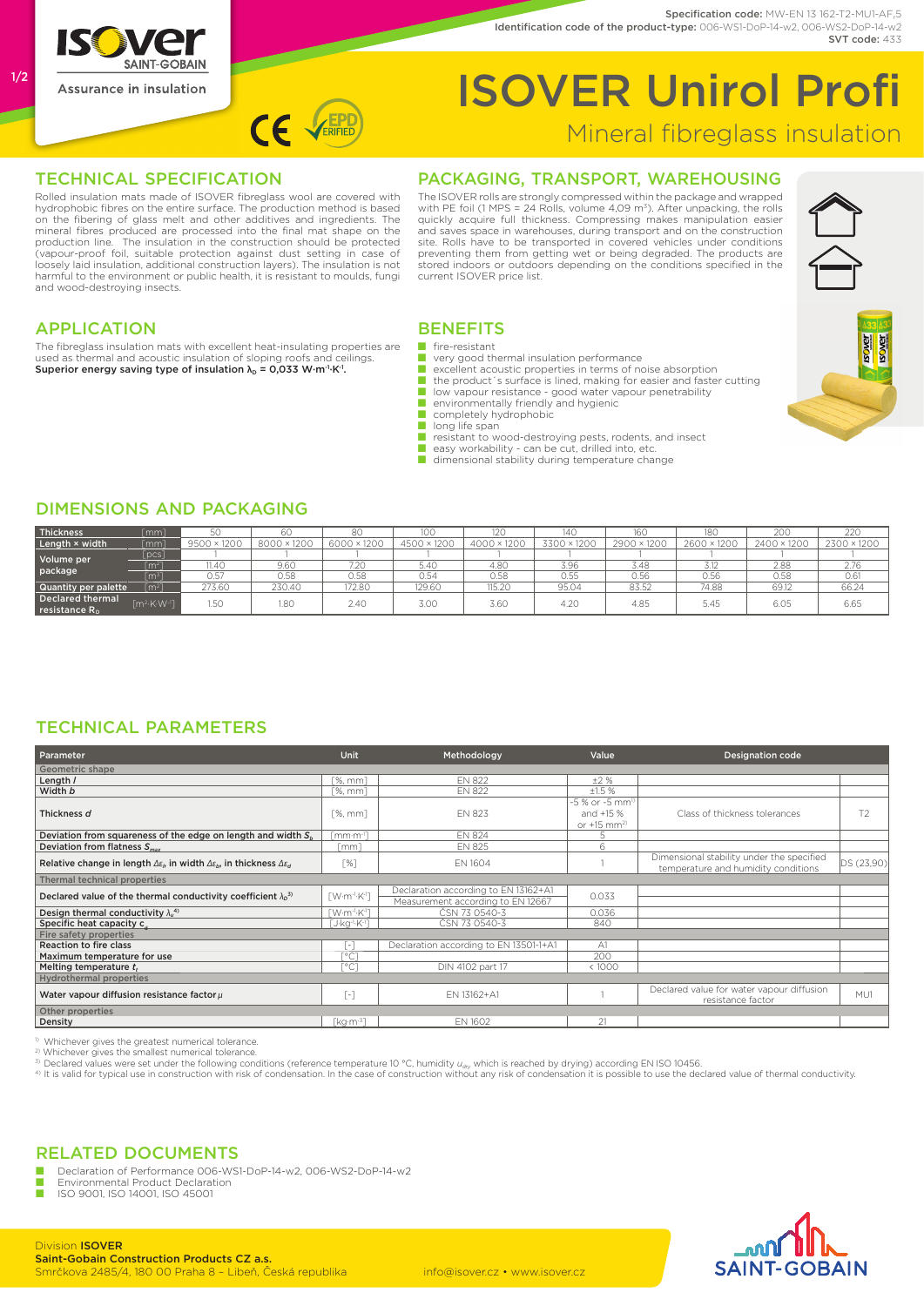

#### Specification code: MW-EN 13 162-T2-MU1-AF.5 Identification code of the product-type: 006-WS1-DoP-14-w2, 006-WS2-DoP-14-w2 SVT code: 433

## ISOVER Unirol Profi Mineral fibreglass insulation

#### TECHNICAL SPECIFICATION

Rolled insulation mats made of ISOVER fibreglass wool are covered with hydrophobic fibres on the entire surface. The production method is based on the fibering of glass melt and other additives and ingredients. The mineral fibres produced are processed into the final mat shape on the production line. The insulation in the construction should be protected (vapour-proof foil, suitable protection against dust setting in case of loosely laid insulation, additional construction layers). The insulation is not harmful to the environment or public health, it is resistant to moulds, fungi and wood-destroying insects.

 $CF \setminus$ 

### PACKAGING, TRANSPORT, WAREHOUSING

The ISOVER rolls are strongly compressed within the package and wrapped with PE foil (1 MPS = 24 Rolls, volume 4,09 m<sup>3</sup>). After unpacking, the rolls<br>quickly acquire full thickness. Compressing makes manipulation easier<br>and saves space in warehouses, during transport and on the construction site. Rolls have to be transported in covered vehicles under conditions preventing them from getting wet or being degraded. The products are stored indoors or outdoors depending on the conditions specified in the current ISOVER price list.



#### APPLICATION

The fibreglass insulation mats with excellent heat-insulating properties are used as thermal and acoustic insulation of sloping roofs and ceilings. Superior energy saving type of insulation  $\lambda_D = 0.033$  W·m<sup>-1</sup>·K<sup>-1</sup>.

### **BENEFITS**

- fire-resistant
- very good thermal insulation performance<br>■ excellent acoustic properties in terms of no
- excellent acoustic properties in terms of noise absorption<br>■ the product's surface is lined, making for easier and faster cutting
- low vapour resistance good water vapour penetrability<br>■ environmentally friendly and hydienic
	- environmentally friendly and hygienic
- completely hydrophobic
- long life span
- resistant to wood-destroying pests, rodents, and insect<br>■ easy workability can be cut, drilled into, etc.
- 
- dimensional stability during temperature change

#### DIMENSIONS AND PACKAGING

| Thickness                                    | $\lceil mm \rceil$                           |                    |             | 80          | 100         | 12C         |             | 160         | 18C         | 200         | 220         |
|----------------------------------------------|----------------------------------------------|--------------------|-------------|-------------|-------------|-------------|-------------|-------------|-------------|-------------|-------------|
| Length × width                               | $\lceil mm \rceil$                           | $9500 \times 1200$ | 8000 × 1200 | 6000 × 1200 | 4500 × 1200 | 4000 × 1200 | 3300 × 1200 | 2900 × 1200 | 2600 × 1200 | 2400 × 1200 | 2300 × 1200 |
| Volume per<br>package                        | [pcs]                                        |                    |             |             |             |             |             |             |             |             |             |
|                                              | $\lfloor$ m <sup>2</sup> ]                   | 11.40              | 9.60        | 7.20        | 5.40        | 4.80        | 3.96        | 3.48        | 3.12        | 2.88        | 2.76        |
|                                              | $\lceil m^3 \rceil$                          | 0.57               | 0.58        | 0.58        | 0.54        | 0.58        | 0.55        | 0.56        | 0.56        | 0.58        | 0.61        |
| Quantity per palette                         | $\lceil m^2 \rceil$                          | 273.60             | 230.40      | 172.80      | 129.60      | 115.20      | 95.04       | 83.52       | 74.88       | 69.12       | 66.24       |
| Declared thermal<br>reistance R <sub>n</sub> | $\mathsf{Im}^{2}$ -K $\cdot$ W <sup>-1</sup> | 1.50               | 1.80        | 2.40        | 3.00        | 3.6C        | 4.20        | 4.85        | 5.45        | 6.05        | 6.65        |

#### TECHNICAL PARAMETERS

| <b>Parameter</b>                                                                                                         | <b>Unit</b>                                   | Methodology                            | Value                                   | <b>Designation code</b>                                                          |            |  |  |  |  |  |
|--------------------------------------------------------------------------------------------------------------------------|-----------------------------------------------|----------------------------------------|-----------------------------------------|----------------------------------------------------------------------------------|------------|--|--|--|--|--|
| Geometric shape                                                                                                          |                                               |                                        |                                         |                                                                                  |            |  |  |  |  |  |
| Length /                                                                                                                 | $[%$ , mm $]$                                 | <b>EN 822</b>                          | ±2%                                     |                                                                                  |            |  |  |  |  |  |
| Width b                                                                                                                  | Г%. mm1                                       | <b>EN 822</b>                          | ±1.5%                                   |                                                                                  |            |  |  |  |  |  |
| Thickness d                                                                                                              | $1\%$ . mm $1$                                | <b>EN 823</b>                          | -5 % or -5 mm <sup>1)</sup>             | Class of thickness tolerances                                                    | T2         |  |  |  |  |  |
|                                                                                                                          |                                               |                                        | and $+15%$<br>or $+15$ mm <sup>2)</sup> |                                                                                  |            |  |  |  |  |  |
| Deviation from squareness of the edge on length and width $S_{b}$                                                        | Imm·m <sup>-1</sup> 1                         | <b>EN 824</b>                          | 5                                       |                                                                                  |            |  |  |  |  |  |
| Deviation from flatness $S_{max}$                                                                                        | [mm]                                          | <b>EN 825</b>                          | 6                                       |                                                                                  |            |  |  |  |  |  |
| Relative change in length $\Delta \varepsilon_0$ , in width $\Delta \varepsilon_0$ , in thickness $\Delta \varepsilon_d$ | $\lceil \% \rceil$                            | EN 1604                                |                                         | Dimensional stability under the specified<br>temperature and humidity conditions | DS (23,90) |  |  |  |  |  |
| Thermal technical properties                                                                                             |                                               |                                        |                                         |                                                                                  |            |  |  |  |  |  |
| Declared value of the thermal conductivity coefficient $\lambda_0^{3}$                                                   | $\lceil$ W·m <sup>-1</sup> ·K <sup>-1</sup> ] | Declaration according to EN 13162+A1   | 0.033                                   |                                                                                  |            |  |  |  |  |  |
|                                                                                                                          |                                               | Measurement according to EN 12667      |                                         |                                                                                  |            |  |  |  |  |  |
| Design thermal conductivity $\lambda_{\mu}^{(4)}$                                                                        | <b>TW</b> ·m <sup>-1</sup> ·K <sup>-1</sup> 1 | ČSN 73 0540-3                          | 0.036                                   |                                                                                  |            |  |  |  |  |  |
| Specific heat capacity c                                                                                                 | [J·kg·l·K·l]                                  | ČSN 73 0540-3                          | 840                                     |                                                                                  |            |  |  |  |  |  |
| Fire safety properties                                                                                                   |                                               |                                        |                                         |                                                                                  |            |  |  |  |  |  |
| Reaction to fire class                                                                                                   | $\lceil - \rceil$                             | Declaration according to EN 13501-1+A1 | A1                                      |                                                                                  |            |  |  |  |  |  |
| Maximum temperature for use                                                                                              | Г°С <sup>-</sup>                              |                                        | 200                                     |                                                                                  |            |  |  |  |  |  |
| Melting temperature t,                                                                                                   | Г°СТ                                          | DIN 4102 part 17                       | < 1000                                  |                                                                                  |            |  |  |  |  |  |
| <b>Hydrothermal properties</b>                                                                                           |                                               |                                        |                                         |                                                                                  |            |  |  |  |  |  |
| Water vapour diffusion resistance factor $\mu$                                                                           | $\lceil - \rceil$                             | EN 13162+A1                            |                                         | Declared value for water vapour diffusion<br>resistance factor                   | MU1        |  |  |  |  |  |
| Other properties                                                                                                         |                                               |                                        |                                         |                                                                                  |            |  |  |  |  |  |
| Density                                                                                                                  | $\lceil \text{kg}\cdot\text{m}^3 \rceil$      | EN 1602                                | 21                                      |                                                                                  |            |  |  |  |  |  |

1) Whichever gives the greatest numerical tolerance.

2) Whichever gives the smallest numerical tolerance.

expression in the case of construction with risk of condensation. In the case of construction without any risk of condensation it is possible to use the declared value of thermal conductivity.

### RELATED DOCUMENTS

Declaration of Performance 006-WS1-DoP-14-w2, 006-WS2-DoP-14-w2

■ Environmental Product Declaration<br>■ ISO 9001 ISO 14001 ISO 45001 ■ ISO 9001, ISO 14001, ISO 45001





1/2